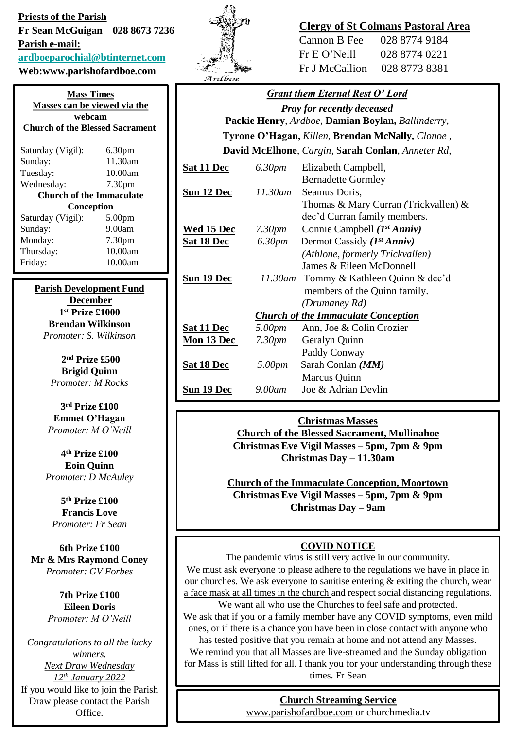**Priests of the Parish Fr Sean McGuigan 028 8673 7236 Parish e-mail: [ardboeparochial@btinternet.com](mailto:ardboeparochial@btinternet.com)**

**Web:www.parishofardboe.com**

**Mass Times Masses can be viewed via the webcam Church of the Blessed Sacrament** Saturday (Vigil): 6.30pm Sunday: 11.30am Tuesday: 10.00am Wednesday: 7.30pm **Church of the Immaculate Conception** Saturday (Vigil): 5.00pm Sunday: 9.00am Monday: 7.30pm Thursday: 10.00am Friday: 10.00am

> **Parish Development Fund December 1 st Prize £1000 Brendan Wilkinson** *Promoter: S. Wilkinson*

> > **2 nd Prize £500 Brigid Quinn** *Promoter: M Rocks*

**3 rd Prize £100 Emmet O'Hagan**  *Promoter: M O'Neill*

**4 th Prize £100 Eoin Quinn**  *Promoter: D McAuley*

**5 th Prize £100 Francis Love**  *Promoter: Fr Sean*

**6th Prize £100 Mr & Mrs Raymond Coney** *Promoter: GV Forbes*

> **7th Prize £100 Eileen Doris** *Promoter: M O'Neill*

*Congratulations to all the lucky winners. Next Draw Wednesday 12th January 2022* If you would like to join the Parish Draw please contact the Parish Office.



## **Clergy of St Colmans Pastoral Area**

| Cannon B Fee    | 028 8774 9184 |
|-----------------|---------------|
| $Fr E O'$ Neill | 028 8774 0221 |
| Fr J McCallion  | 028 8773 8381 |

## *Grant them Eternal Rest O' Lord*

*Pray for recently deceased* **Packie Henry**, *Ardboe,* **Damian Boylan,** *Ballinderry,*  **Tyrone O'Hagan,** *Killen,* **Brendan McNally,** *Clonoe ,*

#### **David McElhone**, *Cargin,* S**arah Conlan**, *Anneter Rd,*

| Sat 11 Dec                                 | 6.30pm    | Elizabeth Campbell,                  |
|--------------------------------------------|-----------|--------------------------------------|
|                                            |           | <b>Bernadette Gormley</b>            |
| Sun 12 Dec                                 | 11.30am   | Seamus Doris,                        |
|                                            |           | Thomas & Mary Curran (Trickvallen) & |
|                                            |           | dec'd Curran family members.         |
| Wed 15 Dec                                 | 7.30pm    | Connie Campbell $(I^{st} Anniv)$     |
| Sat 18 Dec                                 | 6.30pm    | Dermot Cassidy $(I^{st} Anniv)$      |
|                                            |           | (Athlone, formerly Trickvallen)      |
|                                            |           | James $\&$ Eileen McDonnell          |
| Sun 19 Dec                                 | 11.30am   | Tommy & Kathleen Quinn & dec'd       |
|                                            |           | members of the Quinn family.         |
|                                            |           | (Drumaney Rd)                        |
| <b>Church of the Immaculate Conception</b> |           |                                      |
| Sat 11 Dec                                 | 5.00pm    | Ann, Joe & Colin Crozier             |
| Mon 13 Dec                                 | 7.30pm    | Geralyn Quinn                        |
|                                            |           | Paddy Conway                         |
| Sat 18 Dec                                 | 5.00pm    | Sarah Conlan ( <i>MM</i> )           |
|                                            |           | Marcus Quinn                         |
| Sun 19 Dec                                 | $9.00$ am | Joe & Adrian Devlin                  |

#### **Christmas Masses**

**Church of the Blessed Sacrament, Mullinahoe Christmas Eve Vigil Masses – 5pm, 7pm & 9pm Christmas Day – 11.30am**

**Church of the Immaculate Conception, Moortown Christmas Eve Vigil Masses – 5pm, 7pm & 9pm Christmas Day – 9am**

#### **COVID NOTICE**

The pandemic virus is still very active in our community. We must ask everyone to please adhere to the regulations we have in place in our churches. We ask everyone to sanitise entering  $&$  exiting the church, wear a face mask at all times in the church and respect social distancing regulations.

We want all who use the Churches to feel safe and protected. We ask that if you or a family member have any COVID symptoms, even mild ones, or if there is a chance you have been in close contact with anyone who

has tested positive that you remain at home and not attend any Masses. We remind you that all Masses are live-streamed and the Sunday obligation for Mass is still lifted for all. I thank you for your understanding through these times. Fr Sean

#### **Church Streaming Service**

[www.parishofardboe.com](http://www.parishofardboe.com/) or churchmedia.tv